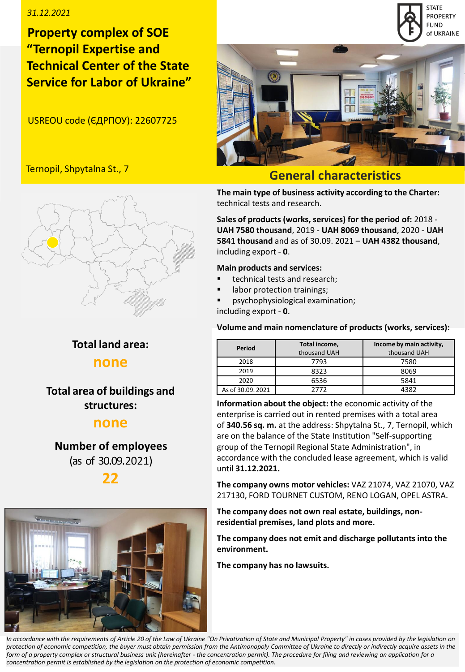## *31.12.2021*

**Property complex of SOE "Ternopil Expertise and Technical Center of the State Service for Labor of Ukraine"**

USREOU code (ЄДРПОУ): 22607725

## Ternopil, Shpytalna St., 7



# **Total land area:**

**none**

**Total area of buildings and structures:**

# **none**

**Number of employees** (as of 30.09.2021)







STATF **PROPERTY FUND** 

# **General characteristics**

**The main type of business activity according to the Charter:**  technical tests and research.

**Sales of products (works, services) for the period of:** 2018 - **UAH 7580 thousand**, 2019 - **UAH 8069 thousand**, 2020 - **UAH 5841 thousand** and as of 30.09. 2021 – **UAH 4382 thousand**, including export - **0**.

#### **Main products and services:**

- technical tests and research;
- labor protection trainings;
- psychophysiological examination; including export - **0**.

#### **Volume and main nomenclature of products (works, services):**

| Period           | Total income,<br>thousand UAH | Income by main activity,<br>thousand UAH |  |  |
|------------------|-------------------------------|------------------------------------------|--|--|
| 2018             | 7793                          | 7580                                     |  |  |
| 2019             | 8323                          | 8069                                     |  |  |
| 2020             | 6536                          | 5841                                     |  |  |
| As of 30.09.2021 | 2772                          | <b>138J</b>                              |  |  |

**Information about the object:** the economic activity of the enterprise is carried out in rented premises with a total area of **340.56 sq. m.** at the address: Shpytalna St., 7, Ternopil, which are on the balance of the State Institution "Self-supporting group of the Ternopil Regional State Administration", in accordance with the concluded lease agreement, which is valid until **31.12.2021.**

**The company owns motor vehicles:** VAZ 21074, VAZ 21070, VAZ 217130, FORD TOURNET CUSTOM, RENO LOGAN, OPEL ASTRA.

**The company does not own real estate, buildings, nonresidential premises, land plots and more.**

**The company does not emit and discharge pollutants into the environment.**

**The company has no lawsuits.**

*In accordance with the requirements of Article 20 of the Law of Ukraine "On Privatization of State and Municipal Property" in cases provided by the legislation on protection of economic competition, the buyer must obtain permission from the Antimonopoly Committee of Ukraine to directly or indirectly acquire assets in the form of a property complex or structural business unit (hereinafter - the concentration permit). The procedure for filing and reviewing an application for a concentration permit is established by the legislation on the protection of economic competition.*